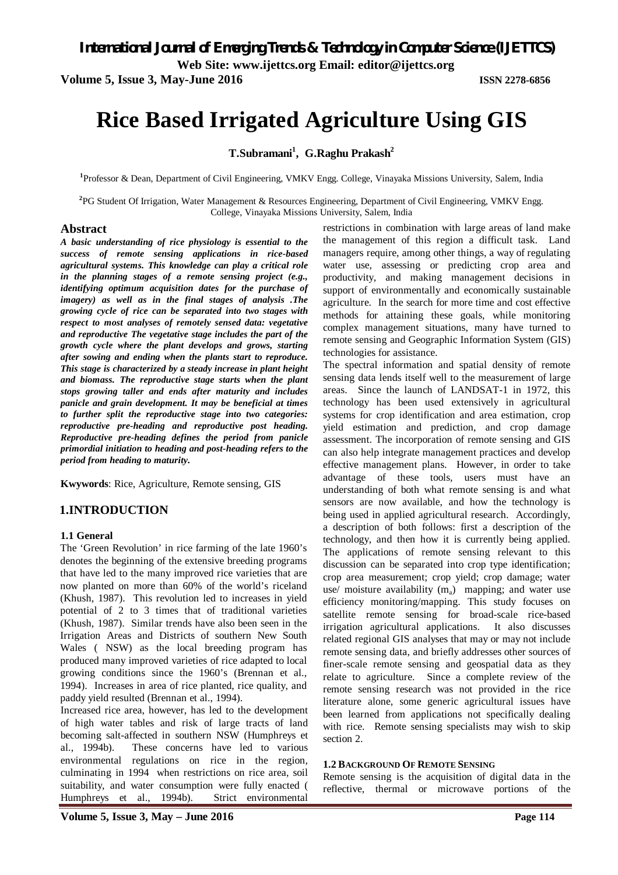*International Journal of Emerging Trends & Technology in Computer Science (IJETTCS)*

**Web Site: www.ijettcs.org Email: editor@ijettcs.org** 

**Volume 5, Issue 3, May-June 2016 ISSN 2278-6856**

# **Rice Based Irrigated Agriculture Using GIS**

**T.Subramani<sup>1</sup> , G.Raghu Prakash<sup>2</sup>**

**1** Professor & Dean, Department of Civil Engineering, VMKV Engg. College, Vinayaka Missions University, Salem, India

**2** PG Student Of Irrigation, Water Management & Resources Engineering, Department of Civil Engineering, VMKV Engg. College, Vinayaka Missions University, Salem, India

#### **Abstract**

*A basic understanding of rice physiology is essential to the success of remote sensing applications in rice-based agricultural systems. This knowledge can play a critical role in the planning stages of a remote sensing project (e.g., identifying optimum acquisition dates for the purchase of imagery) as well as in the final stages of analysis .The growing cycle of rice can be separated into two stages with respect to most analyses of remotely sensed data: vegetative and reproductive The vegetative stage includes the part of the growth cycle where the plant develops and grows, starting after sowing and ending when the plants start to reproduce. This stage is characterized by a steady increase in plant height and biomass. The reproductive stage starts when the plant stops growing taller and ends after maturity and includes panicle and grain development. It may be beneficial at times to further split the reproductive stage into two categories: reproductive pre-heading and reproductive post heading. Reproductive pre-heading defines the period from panicle primordial initiation to heading and post-heading refers to the period from heading to maturity.*

**Kwywords**: Rice, Agriculture, Remote sensing, GIS

#### **1.INTRODUCTION**

#### **1.1 General**

The 'Green Revolution' in rice farming of the late 1960's denotes the beginning of the extensive breeding programs that have led to the many improved rice varieties that are now planted on more than 60% of the world's riceland (Khush, 1987). This revolution led to increases in yield potential of 2 to 3 times that of traditional varieties (Khush, 1987). Similar trends have also been seen in the Irrigation Areas and Districts of southern New South Wales ( NSW) as the local breeding program has produced many improved varieties of rice adapted to local growing conditions since the 1960's (Brennan et al., 1994). Increases in area of rice planted, rice quality, and paddy yield resulted (Brennan et al., 1994).

Increased rice area, however, has led to the development of high water tables and risk of large tracts of land becoming salt-affected in southern NSW (Humphreys et al., 1994b). These concerns have led to various environmental regulations on rice in the region, culminating in 1994 when restrictions on rice area, soil suitability, and water consumption were fully enacted ( Humphreys et al., 1994b). Strict environmental

restrictions in combination with large areas of land make the management of this region a difficult task. Land managers require, among other things, a way of regulating water use, assessing or predicting crop area and productivity, and making management decisions in support of environmentally and economically sustainable agriculture. In the search for more time and cost effective methods for attaining these goals, while monitoring complex management situations, many have turned to remote sensing and Geographic Information System (GIS) technologies for assistance.

The spectral information and spatial density of remote sensing data lends itself well to the measurement of large areas. Since the launch of LANDSAT-1 in 1972, this technology has been used extensively in agricultural systems for crop identification and area estimation, crop yield estimation and prediction, and crop damage assessment. The incorporation of remote sensing and GIS can also help integrate management practices and develop effective management plans. However, in order to take advantage of these tools, users must have an understanding of both what remote sensing is and what sensors are now available, and how the technology is being used in applied agricultural research. Accordingly, a description of both follows: first a description of the technology, and then how it is currently being applied. The applications of remote sensing relevant to this discussion can be separated into crop type identification; crop area measurement; crop yield; crop damage; water use/ moisture availability  $(m_a)$  mapping; and water use efficiency monitoring/mapping. This study focuses on satellite remote sensing for broad-scale rice-based irrigation agricultural applications. It also discusses related regional GIS analyses that may or may not include remote sensing data, and briefly addresses other sources of finer-scale remote sensing and geospatial data as they relate to agriculture. Since a complete review of the remote sensing research was not provided in the rice literature alone, some generic agricultural issues have been learned from applications not specifically dealing with rice. Remote sensing specialists may wish to skip section 2.

#### **1.2 BACKGROUND OF REMOTE SENSING**

Remote sensing is the acquisition of digital data in the reflective, thermal or microwave portions of the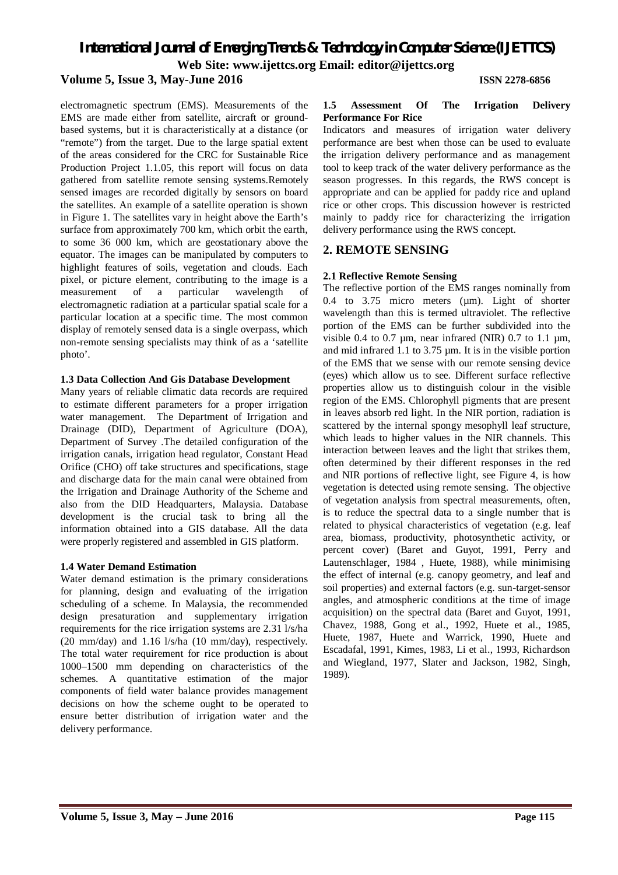*International Journal of Emerging Trends & Technology in Computer Science (IJETTCS)*

**Web Site: www.ijettcs.org Email: editor@ijettcs.org** 

#### **Volume 5, Issue 3, May-June 2016 ISSN 2278-6856**

electromagnetic spectrum (EMS). Measurements of the EMS are made either from satellite, aircraft or groundbased systems, but it is characteristically at a distance (or "remote") from the target. Due to the large spatial extent of the areas considered for the CRC for Sustainable Rice Production Project 1.1.05, this report will focus on data gathered from satellite remote sensing systems.Remotely sensed images are recorded digitally by sensors on board the satellites. An example of a satellite operation is shown in Figure 1. The satellites vary in height above the Earth's surface from approximately 700 km, which orbit the earth, to some 36 000 km, which are geostationary above the equator. The images can be manipulated by computers to highlight features of soils, vegetation and clouds. Each pixel, or picture element, contributing to the image is a measurement of a particular wavelength of electromagnetic radiation at a particular spatial scale for a particular location at a specific time. The most common display of remotely sensed data is a single overpass, which non-remote sensing specialists may think of as a 'satellite photo'.

#### **1.3 Data Collection And Gis Database Development**

Many years of reliable climatic data records are required to estimate different parameters for a proper irrigation water management. The Department of Irrigation and Drainage (DID), Department of Agriculture (DOA), Department of Survey .The detailed configuration of the irrigation canals, irrigation head regulator, Constant Head Orifice (CHO) off take structures and specifications, stage and discharge data for the main canal were obtained from the Irrigation and Drainage Authority of the Scheme and also from the DID Headquarters, Malaysia. Database development is the crucial task to bring all the information obtained into a GIS database. All the data were properly registered and assembled in GIS platform.

#### **1.4 Water Demand Estimation**

Water demand estimation is the primary considerations for planning, design and evaluating of the irrigation scheduling of a scheme. In Malaysia, the recommended design presaturation and supplementary irrigation requirements for the rice irrigation systems are 2.31 l/s/ha (20 mm/day) and 1.16 l/s/ha (10 mm/day), respectively. The total water requirement for rice production is about 1000–1500 mm depending on characteristics of the schemes. A quantitative estimation of the major components of field water balance provides management decisions on how the scheme ought to be operated to ensure better distribution of irrigation water and the delivery performance.

#### **1.5 Assessment Of The Irrigation Delivery Performance For Rice**

Indicators and measures of irrigation water delivery performance are best when those can be used to evaluate the irrigation delivery performance and as management tool to keep track of the water delivery performance as the season progresses. In this regards, the RWS concept is appropriate and can be applied for paddy rice and upland rice or other crops. This discussion however is restricted mainly to paddy rice for characterizing the irrigation delivery performance using the RWS concept.

#### **2. REMOTE SENSING**

#### **2.1 Reflective Remote Sensing**

The reflective portion of the EMS ranges nominally from 0.4 to 3.75 micro meters (µm). Light of shorter wavelength than this is termed ultraviolet. The reflective portion of the EMS can be further subdivided into the visible 0.4 to 0.7  $\mu$ m, near infrared (NIR) 0.7 to 1.1  $\mu$ m, and mid infrared 1.1 to 3.75 µm. It is in the visible portion of the EMS that we sense with our remote sensing device (eyes) which allow us to see. Different surface reflective properties allow us to distinguish colour in the visible region of the EMS. Chlorophyll pigments that are present in leaves absorb red light. In the NIR portion, radiation is scattered by the internal spongy mesophyll leaf structure, which leads to higher values in the NIR channels. This interaction between leaves and the light that strikes them, often determined by their different responses in the red and NIR portions of reflective light, see Figure 4, is how vegetation is detected using remote sensing. The objective of vegetation analysis from spectral measurements, often, is to reduce the spectral data to a single number that is related to physical characteristics of vegetation (e.g. leaf area, biomass, productivity, photosynthetic activity, or percent cover) (Baret and Guyot, 1991, Perry and Lautenschlager, 1984 , Huete, 1988), while minimising the effect of internal (e.g. canopy geometry, and leaf and soil properties) and external factors (e.g. sun-target-sensor angles, and atmospheric conditions at the time of image acquisition) on the spectral data (Baret and Guyot, 1991, Chavez, 1988, Gong et al., 1992, Huete et al., 1985, Huete, 1987, Huete and Warrick, 1990, Huete and Escadafal, 1991, Kimes, 1983, Li et al., 1993, Richardson and Wiegland, 1977, Slater and Jackson, 1982, Singh, 1989).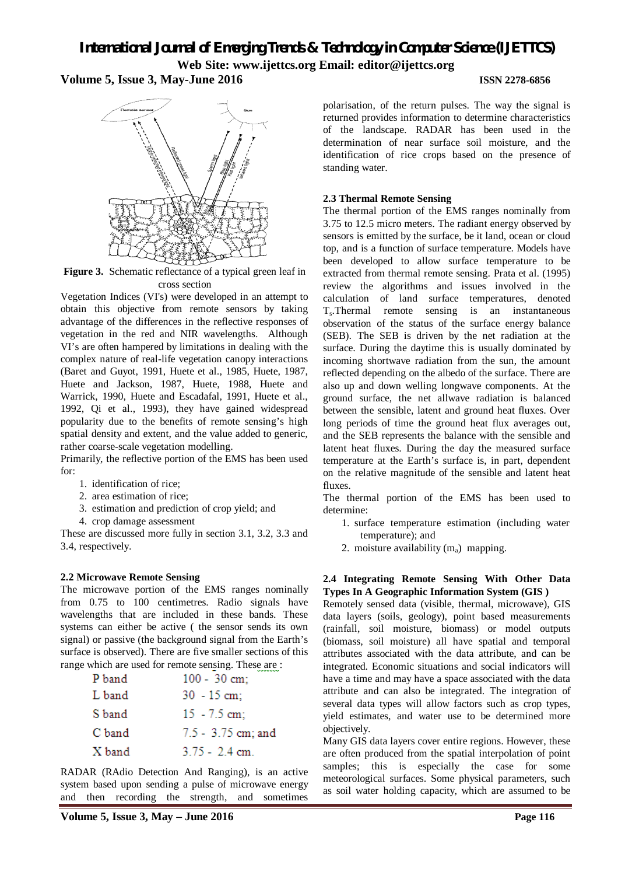## *International Journal of Emerging Trends & Technology in Computer Science (IJETTCS)* **Web Site: www.ijettcs.org Email: editor@ijettcs.org Volume 5, Issue 3, May-June 2016 ISSN 2278-6856**



**Figure 3.** Schematic reflectance of a typical green leaf in cross section

Vegetation Indices (VI's) were developed in an attempt to obtain this objective from remote sensors by taking advantage of the differences in the reflective responses of vegetation in the red and NIR wavelengths. Although VI's are often hampered by limitations in dealing with the complex nature of real-life vegetation canopy interactions (Baret and Guyot, 1991, Huete et al., 1985, Huete, 1987, Huete and Jackson, 1987, Huete, 1988, Huete and Warrick, 1990, Huete and Escadafal, 1991, Huete et al., 1992, Qi et al., 1993), they have gained widespread popularity due to the benefits of remote sensing's high spatial density and extent, and the value added to generic, rather coarse-scale vegetation modelling.

Primarily, the reflective portion of the EMS has been used for:

- 1. identification of rice;
- 2. area estimation of rice;
- 3. estimation and prediction of crop yield; and
- 4. crop damage assessment

These are discussed more fully in section 3.1, 3.2, 3.3 and 3.4, respectively.

#### **2.2 Microwave Remote Sensing**

The microwave portion of the EMS ranges nominally from 0.75 to 100 centimetres. Radio signals have wavelengths that are included in these bands. These systems can either be active ( the sensor sends its own signal) or passive (the background signal from the Earth's surface is observed). There are five smaller sections of this range which are used for remote sensing. These are :

| P band | $100 - 30$ cm;     |
|--------|--------------------|
| L band | $30 - 15$ cm;      |
| S band | $15 - 7.5$ cm;     |
| C band | 7.5 - 3.75 cm; and |
| X band | $3.75 - 2.4$ cm.   |

RADAR (RAdio Detection And Ranging), is an active system based upon sending a pulse of microwave energy and then recording the strength, and sometimes

polarisation, of the return pulses. The way the signal is returned provides information to determine characteristics of the landscape. RADAR has been used in the determination of near surface soil moisture, and the identification of rice crops based on the presence of standing water.

#### **2.3 Thermal Remote Sensing**

The thermal portion of the EMS ranges nominally from 3.75 to 12.5 micro meters. The radiant energy observed by sensors is emitted by the surface, be it land, ocean or cloud top, and is a function of surface temperature. Models have been developed to allow surface temperature to be extracted from thermal remote sensing. Prata et al. (1995) review the algorithms and issues involved in the calculation of land surface temperatures, denoted T. Thermal remote sensing is an instantaneous observation of the status of the surface energy balance (SEB). The SEB is driven by the net radiation at the surface. During the daytime this is usually dominated by incoming shortwave radiation from the sun, the amount reflected depending on the albedo of the surface. There are also up and down welling longwave components. At the ground surface, the net allwave radiation is balanced between the sensible, latent and ground heat fluxes. Over long periods of time the ground heat flux averages out, and the SEB represents the balance with the sensible and latent heat fluxes. During the day the measured surface temperature at the Earth's surface is, in part, dependent on the relative magnitude of the sensible and latent heat fluxes.

The thermal portion of the EMS has been used to determine:

- 1. surface temperature estimation (including water temperature); and
- 2. moisture availability  $(m_a)$  mapping.

#### **2.4 Integrating Remote Sensing With Other Data Types In A Geographic Information System (GIS )**

Remotely sensed data (visible, thermal, microwave), GIS data layers (soils, geology), point based measurements (rainfall, soil moisture, biomass) or model outputs (biomass, soil moisture) all have spatial and temporal attributes associated with the data attribute, and can be integrated. Economic situations and social indicators will have a time and may have a space associated with the data attribute and can also be integrated. The integration of several data types will allow factors such as crop types, yield estimates, and water use to be determined more objectively.

Many GIS data layers cover entire regions. However, these are often produced from the spatial interpolation of point samples; this is especially the case for some meteorological surfaces. Some physical parameters, such as soil water holding capacity, which are assumed to be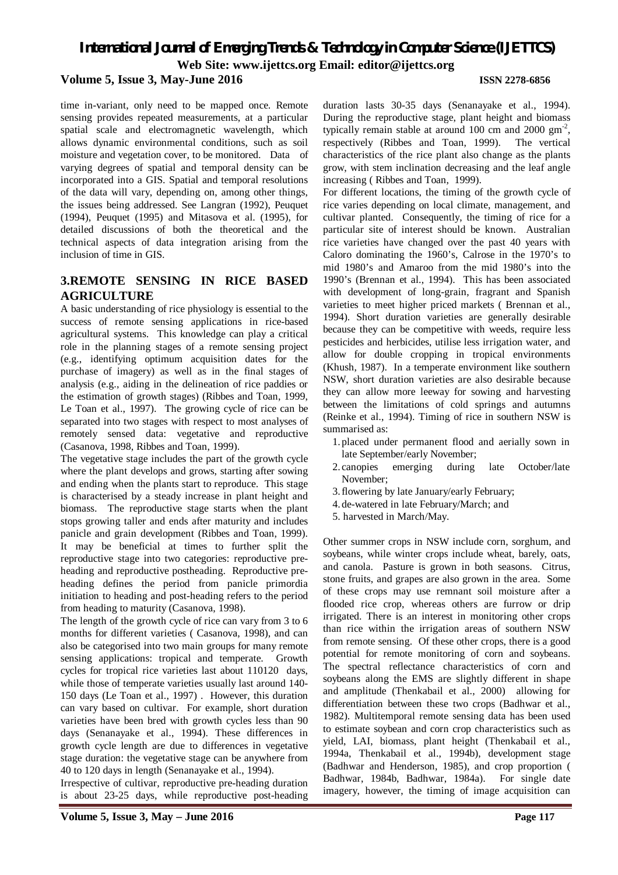### **Volume 5, Issue 3, May-June 2016 ISSN 2278-6856**

time in-variant, only need to be mapped once. Remote sensing provides repeated measurements, at a particular spatial scale and electromagnetic wavelength, which allows dynamic environmental conditions, such as soil moisture and vegetation cover, to be monitored. Data of varying degrees of spatial and temporal density can be incorporated into a GIS. Spatial and temporal resolutions of the data will vary, depending on, among other things, the issues being addressed. See Langran (1992), Peuquet (1994), Peuquet (1995) and Mitasova et al. (1995), for detailed discussions of both the theoretical and the technical aspects of data integration arising from the inclusion of time in GIS.

## **3.REMOTE SENSING IN RICE BASED AGRICULTURE**

A basic understanding of rice physiology is essential to the success of remote sensing applications in rice-based agricultural systems. This knowledge can play a critical role in the planning stages of a remote sensing project (e.g., identifying optimum acquisition dates for the purchase of imagery) as well as in the final stages of analysis (e.g., aiding in the delineation of rice paddies or the estimation of growth stages) (Ribbes and Toan, 1999, Le Toan et al., 1997). The growing cycle of rice can be separated into two stages with respect to most analyses of remotely sensed data: vegetative and reproductive (Casanova, 1998, Ribbes and Toan, 1999).

The vegetative stage includes the part of the growth cycle where the plant develops and grows, starting after sowing and ending when the plants start to reproduce. This stage is characterised by a steady increase in plant height and biomass. The reproductive stage starts when the plant stops growing taller and ends after maturity and includes panicle and grain development (Ribbes and Toan, 1999). It may be beneficial at times to further split the reproductive stage into two categories: reproductive preheading and reproductive postheading. Reproductive preheading defines the period from panicle primordia initiation to heading and post-heading refers to the period from heading to maturity (Casanova, 1998).

The length of the growth cycle of rice can vary from 3 to 6 months for different varieties ( Casanova, 1998), and can also be categorised into two main groups for many remote sensing applications: tropical and temperate. Growth cycles for tropical rice varieties last about 110120 days, while those of temperate varieties usually last around 140- 150 days (Le Toan et al., 1997) . However, this duration can vary based on cultivar. For example, short duration varieties have been bred with growth cycles less than 90 days (Senanayake et al., 1994). These differences in growth cycle length are due to differences in vegetative stage duration: the vegetative stage can be anywhere from 40 to 120 days in length (Senanayake et al., 1994).

Irrespective of cultivar, reproductive pre-heading duration is about 23-25 days, while reproductive post-heading

duration lasts 30-35 days (Senanayake et al., 1994). During the reproductive stage, plant height and biomass typically remain stable at around 100 cm and 2000  $\text{gm}^2$ , respectively (Ribbes and Toan, 1999). The vertical characteristics of the rice plant also change as the plants grow, with stem inclination decreasing and the leaf angle increasing ( Ribbes and Toan, 1999).

For different locations, the timing of the growth cycle of rice varies depending on local climate, management, and cultivar planted. Consequently, the timing of rice for a particular site of interest should be known. Australian rice varieties have changed over the past 40 years with Caloro dominating the 1960's, Calrose in the 1970's to mid 1980's and Amaroo from the mid 1980's into the 1990's (Brennan et al., 1994). This has been associated with development of long-grain, fragrant and Spanish varieties to meet higher priced markets ( Brennan et al., 1994). Short duration varieties are generally desirable because they can be competitive with weeds, require less pesticides and herbicides, utilise less irrigation water, and allow for double cropping in tropical environments (Khush, 1987). In a temperate environment like southern NSW, short duration varieties are also desirable because they can allow more leeway for sowing and harvesting between the limitations of cold springs and autumns (Reinke et al., 1994). Timing of rice in southern NSW is summarised as:

- 1. placed under permanent flood and aerially sown in late September/early November;
- 2. canopies emerging during late October/late November;
- 3.flowering by late January/early February;
- 4. de-watered in late February/March; and
- 5. harvested in March/May.

Other summer crops in NSW include corn, sorghum, and soybeans, while winter crops include wheat, barely, oats, and canola. Pasture is grown in both seasons. Citrus, stone fruits, and grapes are also grown in the area. Some of these crops may use remnant soil moisture after a flooded rice crop, whereas others are furrow or drip irrigated. There is an interest in monitoring other crops than rice within the irrigation areas of southern NSW from remote sensing. Of these other crops, there is a good potential for remote monitoring of corn and soybeans. The spectral reflectance characteristics of corn and soybeans along the EMS are slightly different in shape and amplitude (Thenkabail et al., 2000) allowing for differentiation between these two crops (Badhwar et al., 1982). Multitemporal remote sensing data has been used to estimate soybean and corn crop characteristics such as yield, LAI, biomass, plant height (Thenkabail et al., 1994a, Thenkabail et al., 1994b), development stage (Badhwar and Henderson, 1985), and crop proportion ( Badhwar, 1984b, Badhwar, 1984a). For single date imagery, however, the timing of image acquisition can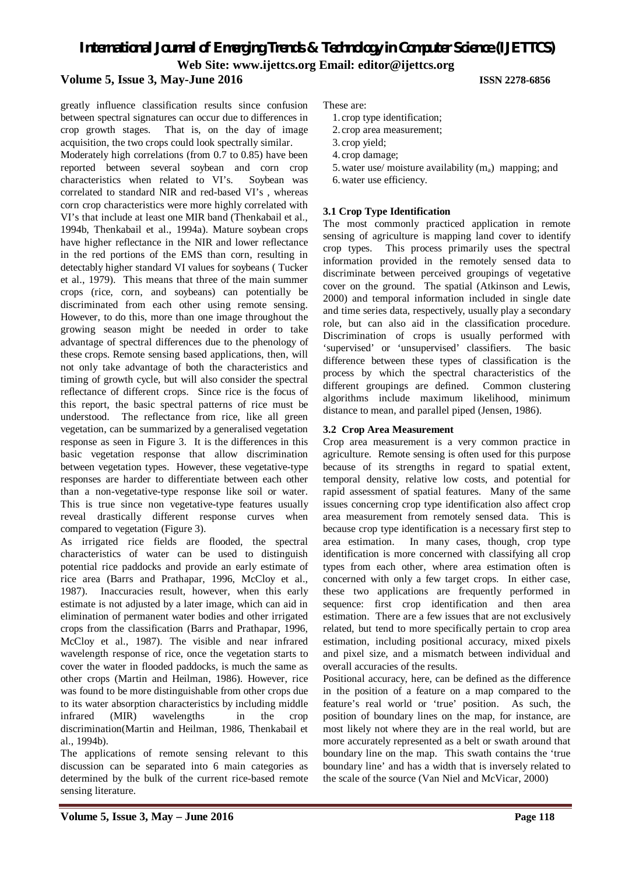**Volume 5, Issue 3, May-June 2016 ISSN 2278-6856**

greatly influence classification results since confusion between spectral signatures can occur due to differences in crop growth stages. That is, on the day of image acquisition, the two crops could look spectrally similar. Moderately high correlations (from 0.7 to 0.85) have been reported between several soybean and corn crop characteristics when related to VI's. Soybean was correlated to standard NIR and red-based VI's , whereas corn crop characteristics were more highly correlated with VI's that include at least one MIR band (Thenkabail et al., 1994b, Thenkabail et al., 1994a). Mature soybean crops have higher reflectance in the NIR and lower reflectance in the red portions of the EMS than corn, resulting in detectably higher standard VI values for soybeans ( Tucker et al., 1979). This means that three of the main summer crops (rice, corn, and soybeans) can potentially be discriminated from each other using remote sensing. However, to do this, more than one image throughout the growing season might be needed in order to take advantage of spectral differences due to the phenology of these crops. Remote sensing based applications, then, will not only take advantage of both the characteristics and timing of growth cycle, but will also consider the spectral reflectance of different crops. Since rice is the focus of this report, the basic spectral patterns of rice must be understood. The reflectance from rice, like all green vegetation, can be summarized by a generalised vegetation response as seen in Figure 3. It is the differences in this basic vegetation response that allow discrimination between vegetation types. However, these vegetative-type responses are harder to differentiate between each other than a non-vegetative-type response like soil or water. This is true since non vegetative-type features usually reveal drastically different response curves when compared to vegetation (Figure 3).

As irrigated rice fields are flooded, the spectral characteristics of water can be used to distinguish potential rice paddocks and provide an early estimate of rice area (Barrs and Prathapar, 1996, McCloy et al., 1987). Inaccuracies result, however, when this early estimate is not adjusted by a later image, which can aid in elimination of permanent water bodies and other irrigated crops from the classification (Barrs and Prathapar, 1996, McCloy et al., 1987). The visible and near infrared wavelength response of rice, once the vegetation starts to cover the water in flooded paddocks, is much the same as other crops (Martin and Heilman, 1986). However, rice was found to be more distinguishable from other crops due to its water absorption characteristics by including middle infrared (MIR) wavelengths in the crop discrimination(Martin and Heilman, 1986, Thenkabail et al., 1994b).

The applications of remote sensing relevant to this discussion can be separated into 6 main categories as determined by the bulk of the current rice-based remote sensing literature.

These are:

- 1. crop type identification;
- 2. crop area measurement;
- 3. crop yield;
- 4. crop damage;
- 5. water use/ moisture availability  $(m_a)$  mapping; and
- 6.water use efficiency.

#### **3.1 Crop Type Identification**

The most commonly practiced application in remote sensing of agriculture is mapping land cover to identify crop types. This process primarily uses the spectral information provided in the remotely sensed data to discriminate between perceived groupings of vegetative cover on the ground. The spatial (Atkinson and Lewis, 2000) and temporal information included in single date and time series data, respectively, usually play a secondary role, but can also aid in the classification procedure. Discrimination of crops is usually performed with 'supervised' or 'unsupervised' classifiers. The basic difference between these types of classification is the process by which the spectral characteristics of the different groupings are defined. Common clustering algorithms include maximum likelihood, minimum distance to mean, and parallel piped (Jensen, 1986).

#### **3.2 Crop Area Measurement**

Crop area measurement is a very common practice in agriculture. Remote sensing is often used for this purpose because of its strengths in regard to spatial extent, temporal density, relative low costs, and potential for rapid assessment of spatial features. Many of the same issues concerning crop type identification also affect crop area measurement from remotely sensed data. This is because crop type identification is a necessary first step to area estimation. In many cases, though, crop type identification is more concerned with classifying all crop types from each other, where area estimation often is concerned with only a few target crops. In either case, these two applications are frequently performed in sequence: first crop identification and then area estimation. There are a few issues that are not exclusively related, but tend to more specifically pertain to crop area estimation, including positional accuracy, mixed pixels and pixel size, and a mismatch between individual and overall accuracies of the results.

Positional accuracy, here, can be defined as the difference in the position of a feature on a map compared to the feature's real world or 'true' position. As such, the position of boundary lines on the map, for instance, are most likely not where they are in the real world, but are more accurately represented as a belt or swath around that boundary line on the map. This swath contains the 'true boundary line' and has a width that is inversely related to the scale of the source (Van Niel and McVicar, 2000)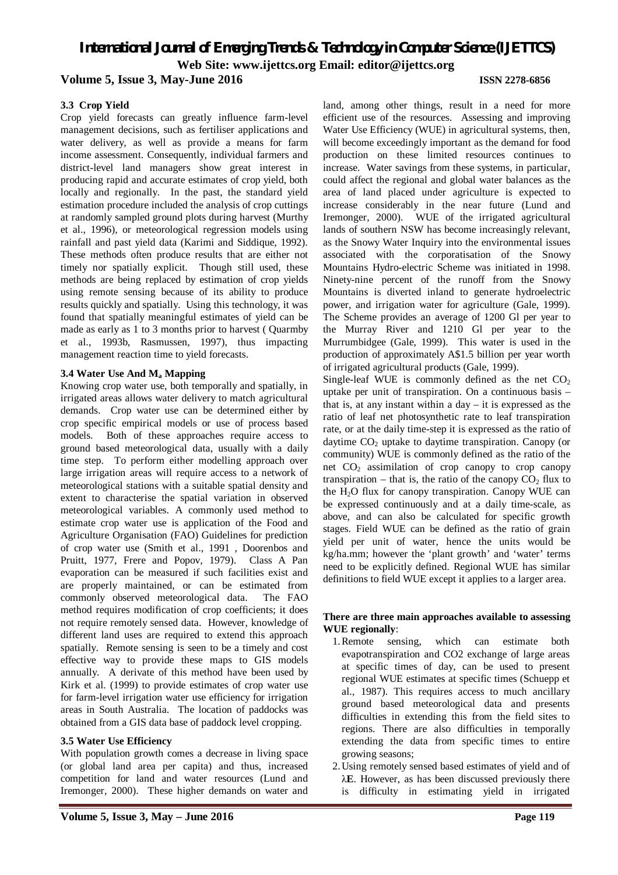#### **Volume 5, Issue 3, May-June 2016 ISSN 2278-6856**

#### **3.3 Crop Yield**

Crop yield forecasts can greatly influence farm-level management decisions, such as fertiliser applications and water delivery, as well as provide a means for farm income assessment. Consequently, individual farmers and district-level land managers show great interest in producing rapid and accurate estimates of crop yield, both locally and regionally. In the past, the standard yield estimation procedure included the analysis of crop cuttings at randomly sampled ground plots during harvest (Murthy et al., 1996), or meteorological regression models using rainfall and past yield data (Karimi and Siddique, 1992). These methods often produce results that are either not timely nor spatially explicit. Though still used, these methods are being replaced by estimation of crop yields using remote sensing because of its ability to produce results quickly and spatially. Using this technology, it was found that spatially meaningful estimates of yield can be made as early as 1 to 3 months prior to harvest ( Quarmby et al., 1993b, Rasmussen, 1997), thus impacting management reaction time to yield forecasts.

#### **3.4 Water Use And M<sup>a</sup> Mapping**

Knowing crop water use, both temporally and spatially, in irrigated areas allows water delivery to match agricultural demands. Crop water use can be determined either by crop specific empirical models or use of process based models. Both of these approaches require access to ground based meteorological data, usually with a daily time step. To perform either modelling approach over large irrigation areas will require access to a network of meteorological stations with a suitable spatial density and extent to characterise the spatial variation in observed meteorological variables. A commonly used method to estimate crop water use is application of the Food and Agriculture Organisation (FAO) Guidelines for prediction of crop water use (Smith et al., 1991 , Doorenbos and Pruitt, 1977, Frere and Popov, 1979). Class A Pan evaporation can be measured if such facilities exist and are properly maintained, or can be estimated from commonly observed meteorological data. The FAO method requires modification of crop coefficients; it does not require remotely sensed data. However, knowledge of different land uses are required to extend this approach spatially. Remote sensing is seen to be a timely and cost effective way to provide these maps to GIS models annually. A derivate of this method have been used by Kirk et al. (1999) to provide estimates of crop water use for farm-level irrigation water use efficiency for irrigation areas in South Australia. The location of paddocks was obtained from a GIS data base of paddock level cropping.

#### **3.5 Water Use Efficiency**

With population growth comes a decrease in living space (or global land area per capita) and thus, increased competition for land and water resources (Lund and Iremonger, 2000). These higher demands on water and

land, among other things, result in a need for more efficient use of the resources. Assessing and improving Water Use Efficiency (WUE) in agricultural systems, then, will become exceedingly important as the demand for food production on these limited resources continues to increase. Water savings from these systems, in particular, could affect the regional and global water balances as the area of land placed under agriculture is expected to increase considerably in the near future (Lund and Iremonger, 2000). WUE of the irrigated agricultural lands of southern NSW has become increasingly relevant, as the Snowy Water Inquiry into the environmental issues associated with the corporatisation of the Snowy Mountains Hydro-electric Scheme was initiated in 1998. Ninety-nine percent of the runoff from the Snowy Mountains is diverted inland to generate hydroelectric power, and irrigation water for agriculture (Gale, 1999). The Scheme provides an average of 1200 Gl per year to the Murray River and 1210 Gl per year to the Murrumbidgee (Gale, 1999). This water is used in the production of approximately A\$1.5 billion per year worth of irrigated agricultural products (Gale, 1999).

Single-leaf WUE is commonly defined as the net  $CO<sub>2</sub>$ uptake per unit of transpiration. On a continuous basis – that is, at any instant within a  $day - it$  is expressed as the ratio of leaf net photosynthetic rate to leaf transpiration rate, or at the daily time-step it is expressed as the ratio of daytime  $CO<sub>2</sub>$  uptake to daytime transpiration. Canopy (or community) WUE is commonly defined as the ratio of the net  $CO<sub>2</sub>$  assimilation of crop canopy to crop canopy transpiration – that is, the ratio of the canopy  $CO<sub>2</sub>$  flux to the  $H_2O$  flux for canopy transpiration. Canopy WUE can be expressed continuously and at a daily time-scale, as above, and can also be calculated for specific growth stages. Field WUE can be defined as the ratio of grain yield per unit of water, hence the units would be kg/ha.mm; however the 'plant growth' and 'water' terms need to be explicitly defined. Regional WUE has similar definitions to field WUE except it applies to a larger area.

#### **There are three main approaches available to assessing WUE regionally**:

- 1.Remote sensing, which can estimate both evapotranspiration and CO2 exchange of large areas at specific times of day, can be used to present regional WUE estimates at specific times (Schuepp et al., 1987). This requires access to much ancillary ground based meteorological data and presents difficulties in extending this from the field sites to regions. There are also difficulties in temporally extending the data from specific times to entire growing seasons;
- 2.Using remotely sensed based estimates of yield and of λ**E**. However, as has been discussed previously there is difficulty in estimating yield in irrigated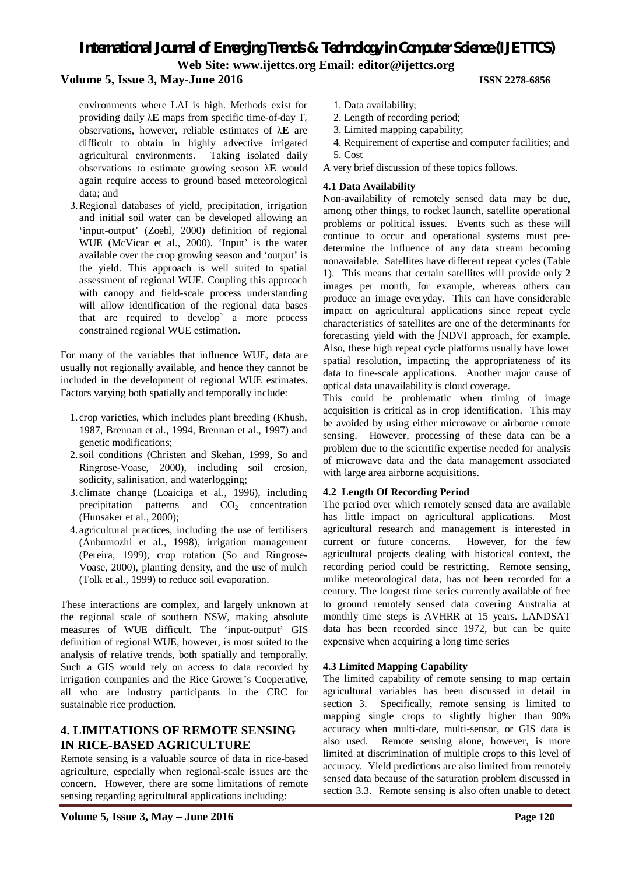### **Volume 5, Issue 3, May-June 2016 ISSN 2278-6856**

environments where LAI is high. Methods exist for providing daily  $\lambda$ **E** maps from specific time-of-day  $T_s$ observations, however, reliable estimates of λ**E** are 1. Data availability;

difficult to obtain in highly advective irrigated agricultural environments. Taking isolated daily observations to estimate growing season λ**E** would again require access to ground based meteorological data; and

3.Regional databases of yield, precipitation, irrigation and initial soil water can be developed allowing an 'input-output' (Zoebl, 2000) definition of regional WUE (McVicar et al., 2000). 'Input' is the water available over the crop growing season and 'output' is the yield. This approach is well suited to spatial assessment of regional WUE. Coupling this approach with canopy and field-scale process understanding will allow identification of the regional data bases that are required to develop` a more process constrained regional WUE estimation.

For many of the variables that influence WUE, data are usually not regionally available, and hence they cannot be included in the development of regional WUE estimates. Factors varying both spatially and temporally include:

- 1. crop varieties, which includes plant breeding (Khush, 1987, Brennan et al., 1994, Brennan et al., 1997) and genetic modifications;
- 2.soil conditions (Christen and Skehan, 1999, So and Ringrose-Voase, 2000), including soil erosion, sodicity, salinisation, and waterlogging;
- 3. climate change (Loaiciga et al., 1996), including precipitation patterns and  $CO<sub>2</sub>$  concentration (Hunsaker et al., 2000);
- 4. agricultural practices, including the use of fertilisers (Anbumozhi et al., 1998), irrigation management (Pereira, 1999), crop rotation (So and Ringrose-Voase, 2000), planting density, and the use of mulch (Tolk et al., 1999) to reduce soil evaporation.

These interactions are complex, and largely unknown at the regional scale of southern NSW, making absolute measures of WUE difficult. The 'input-output' GIS definition of regional WUE, however, is most suited to the analysis of relative trends, both spatially and temporally. Such a GIS would rely on access to data recorded by irrigation companies and the Rice Grower's Cooperative, all who are industry participants in the CRC for sustainable rice production.

### **4. LIMITATIONS OF REMOTE SENSING IN RICE-BASED AGRICULTURE**

Remote sensing is a valuable source of data in rice-based agriculture, especially when regional-scale issues are the concern. However, there are some limitations of remote sensing regarding agricultural applications including:

- 
- 2. Length of recording period;
- 3. Limited mapping capability;
- 4. Requirement of expertise and computer facilities; and 5. Cost
- A very brief discussion of these topics follows.

#### **4.1 Data Availability**

Non-availability of remotely sensed data may be due, among other things, to rocket launch, satellite operational problems or political issues. Events such as these will continue to occur and operational systems must predetermine the influence of any data stream becoming nonavailable. Satellites have different repeat cycles (Table 1). This means that certain satellites will provide only 2 images per month, for example, whereas others can produce an image everyday. This can have considerable impact on agricultural applications since repeat cycle characteristics of satellites are one of the determinants for forecasting yield with the ∫NDVI approach, for example. Also, these high repeat cycle platforms usually have lower spatial resolution, impacting the appropriateness of its data to fine-scale applications. Another major cause of optical data unavailability is cloud coverage.

This could be problematic when timing of image acquisition is critical as in crop identification. This may be avoided by using either microwave or airborne remote sensing. However, processing of these data can be a problem due to the scientific expertise needed for analysis of microwave data and the data management associated with large area airborne acquisitions.

#### **4.2 Length Of Recording Period**

The period over which remotely sensed data are available has little impact on agricultural applications. Most agricultural research and management is interested in current or future concerns. However, for the few agricultural projects dealing with historical context, the recording period could be restricting. Remote sensing, unlike meteorological data, has not been recorded for a century. The longest time series currently available of free to ground remotely sensed data covering Australia at monthly time steps is AVHRR at 15 years. LANDSAT data has been recorded since 1972, but can be quite expensive when acquiring a long time series

#### **4.3 Limited Mapping Capability**

The limited capability of remote sensing to map certain agricultural variables has been discussed in detail in section 3. Specifically, remote sensing is limited to mapping single crops to slightly higher than 90% accuracy when multi-date, multi-sensor, or GIS data is also used. Remote sensing alone, however, is more limited at discrimination of multiple crops to this level of accuracy. Yield predictions are also limited from remotely sensed data because of the saturation problem discussed in section 3.3. Remote sensing is also often unable to detect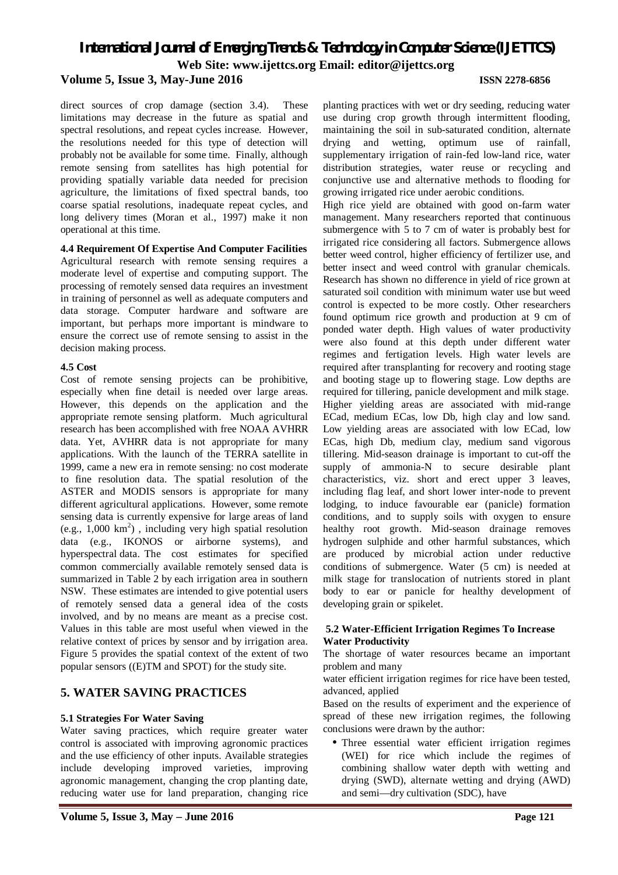**Volume 5, Issue 3, May-June 2016 ISSN 2278-6856**

direct sources of crop damage (section 3.4). These limitations may decrease in the future as spatial and spectral resolutions, and repeat cycles increase. However, the resolutions needed for this type of detection will probably not be available for some time. Finally, although remote sensing from satellites has high potential for providing spatially variable data needed for precision agriculture, the limitations of fixed spectral bands, too coarse spatial resolutions, inadequate repeat cycles, and long delivery times (Moran et al., 1997) make it non operational at this time.

#### **4.4 Requirement Of Expertise And Computer Facilities**

Agricultural research with remote sensing requires a moderate level of expertise and computing support. The processing of remotely sensed data requires an investment in training of personnel as well as adequate computers and data storage. Computer hardware and software are important, but perhaps more important is mindware to ensure the correct use of remote sensing to assist in the decision making process.

#### **4.5 Cost**

Cost of remote sensing projects can be prohibitive, especially when fine detail is needed over large areas. However, this depends on the application and the appropriate remote sensing platform. Much agricultural research has been accomplished with free NOAA AVHRR data. Yet, AVHRR data is not appropriate for many applications. With the launch of the TERRA satellite in 1999, came a new era in remote sensing: no cost moderate to fine resolution data. The spatial resolution of the ASTER and MODIS sensors is appropriate for many different agricultural applications. However, some remote sensing data is currently expensive for large areas of land (e.g.,  $1,000 \text{ km}^2$ ), including very high spatial resolution data (e.g., IKONOS or airborne systems), and hyperspectral data. The cost estimates for specified common commercially available remotely sensed data is summarized in Table 2 by each irrigation area in southern NSW. These estimates are intended to give potential users of remotely sensed data a general idea of the costs involved, and by no means are meant as a precise cost. Values in this table are most useful when viewed in the relative context of prices by sensor and by irrigation area. Figure 5 provides the spatial context of the extent of two popular sensors ((E)TM and SPOT) for the study site.

## **5. WATER SAVING PRACTICES**

#### **5.1 Strategies For Water Saving**

Water saving practices, which require greater water control is associated with improving agronomic practices and the use efficiency of other inputs. Available strategies include developing improved varieties, improving agronomic management, changing the crop planting date, reducing water use for land preparation, changing rice planting practices with wet or dry seeding, reducing water use during crop growth through intermittent flooding, maintaining the soil in sub-saturated condition, alternate drying and wetting, optimum use of rainfall, supplementary irrigation of rain-fed low-land rice, water distribution strategies, water reuse or recycling and conjunctive use and alternative methods to flooding for growing irrigated rice under aerobic conditions.

High rice yield are obtained with good on-farm water management. Many researchers reported that continuous submergence with 5 to 7 cm of water is probably best for irrigated rice considering all factors. Submergence allows better weed control, higher efficiency of fertilizer use, and better insect and weed control with granular chemicals. Research has shown no difference in yield of rice grown at saturated soil condition with minimum water use but weed control is expected to be more costly. Other researchers found optimum rice growth and production at 9 cm of ponded water depth. High values of water productivity were also found at this depth under different water regimes and fertigation levels. High water levels are required after transplanting for recovery and rooting stage and booting stage up to flowering stage. Low depths are required for tillering, panicle development and milk stage. Higher yielding areas are associated with mid-range ECad, medium ECas, low Db, high clay and low sand. Low yielding areas are associated with low ECad, low ECas, high Db, medium clay, medium sand vigorous tillering. Mid-season drainage is important to cut-off the supply of ammonia-N to secure desirable plant characteristics, viz. short and erect upper 3 leaves, including flag leaf, and short lower inter-node to prevent lodging, to induce favourable ear (panicle) formation conditions, and to supply soils with oxygen to ensure healthy root growth. Mid-season drainage removes hydrogen sulphide and other harmful substances, which are produced by microbial action under reductive conditions of submergence. Water (5 cm) is needed at milk stage for translocation of nutrients stored in plant body to ear or panicle for healthy development of developing grain or spikelet.

#### **5.2 Water-Efficient Irrigation Regimes To Increase Water Productivity**

The shortage of water resources became an important problem and many

water efficient irrigation regimes for rice have been tested, advanced, applied

Based on the results of experiment and the experience of spread of these new irrigation regimes, the following conclusions were drawn by the author:

• Three essential water efficient irrigation regimes (WEI) for rice which include the regimes of combining shallow water depth with wetting and drying (SWD), alternate wetting and drying (AWD) and semi—dry cultivation (SDC), have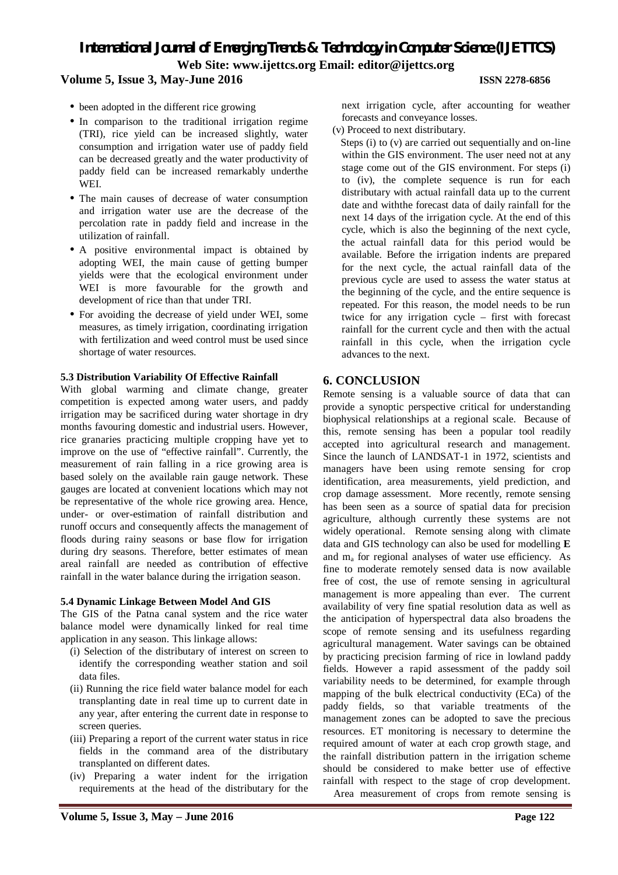### **Volume 5, Issue 3, May-June 2016 ISSN 2278-6856**

- been adopted in the different rice growing
- In comparison to the traditional irrigation regime (TRI), rice yield can be increased slightly, water consumption and irrigation water use of paddy field can be decreased greatly and the water productivity of paddy field can be increased remarkably underthe WEI.
- The main causes of decrease of water consumption and irrigation water use are the decrease of the percolation rate in paddy field and increase in the utilization of rainfall.
- A positive environmental impact is obtained by adopting WEI, the main cause of getting bumper yields were that the ecological environment under WEI is more favourable for the growth and development of rice than that under TRI.
- For avoiding the decrease of yield under WEI, some measures, as timely irrigation, coordinating irrigation with fertilization and weed control must be used since shortage of water resources.

#### **5.3 Distribution Variability Of Effective Rainfall**

With global warming and climate change, greater competition is expected among water users, and paddy irrigation may be sacrificed during water shortage in dry months favouring domestic and industrial users. However, rice granaries practicing multiple cropping have yet to improve on the use of "effective rainfall". Currently, the measurement of rain falling in a rice growing area is based solely on the available rain gauge network. These gauges are located at convenient locations which may not be representative of the whole rice growing area. Hence, under- or over-estimation of rainfall distribution and runoff occurs and consequently affects the management of floods during rainy seasons or base flow for irrigation during dry seasons. Therefore, better estimates of mean areal rainfall are needed as contribution of effective rainfall in the water balance during the irrigation season.

#### **5.4 Dynamic Linkage Between Model And GIS**

The GIS of the Patna canal system and the rice water balance model were dynamically linked for real time application in any season. This linkage allows:

- (i) Selection of the distributary of interest on screen to identify the corresponding weather station and soil data files.
- (ii) Running the rice field water balance model for each transplanting date in real time up to current date in any year, after entering the current date in response to screen queries.
- (iii) Preparing a report of the current water status in rice fields in the command area of the distributary transplanted on different dates.
- (iv) Preparing a water indent for the irrigation requirements at the head of the distributary for the

next irrigation cycle, after accounting for weather forecasts and conveyance losses.

- (v) Proceed to next distributary.
	- Steps (i) to (v) are carried out sequentially and on-line within the GIS environment. The user need not at any stage come out of the GIS environment. For steps (i) to (iv), the complete sequence is run for each distributary with actual rainfall data up to the current date and withthe forecast data of daily rainfall for the next 14 days of the irrigation cycle. At the end of this cycle, which is also the beginning of the next cycle, the actual rainfall data for this period would be available. Before the irrigation indents are prepared for the next cycle, the actual rainfall data of the previous cycle are used to assess the water status at the beginning of the cycle, and the entire sequence is repeated. For this reason, the model needs to be run twice for any irrigation cycle – first with forecast rainfall for the current cycle and then with the actual rainfall in this cycle, when the irrigation cycle advances to the next.

### **6. CONCLUSION**

Remote sensing is a valuable source of data that can provide a synoptic perspective critical for understanding biophysical relationships at a regional scale. Because of this, remote sensing has been a popular tool readily accepted into agricultural research and management. Since the launch of LANDSAT-1 in 1972, scientists and managers have been using remote sensing for crop identification, area measurements, yield prediction, and crop damage assessment. More recently, remote sensing has been seen as a source of spatial data for precision agriculture, although currently these systems are not widely operational. Remote sensing along with climate data and GIS technology can also be used for modelling **E**  and  $m_a$  for regional analyses of water use efficiency. As fine to moderate remotely sensed data is now available free of cost, the use of remote sensing in agricultural management is more appealing than ever. The current availability of very fine spatial resolution data as well as the anticipation of hyperspectral data also broadens the scope of remote sensing and its usefulness regarding agricultural management. Water savings can be obtained by practicing precision farming of rice in lowland paddy fields. However a rapid assessment of the paddy soil variability needs to be determined, for example through mapping of the bulk electrical conductivity (ECa) of the paddy fields, so that variable treatments of the management zones can be adopted to save the precious resources. ET monitoring is necessary to determine the required amount of water at each crop growth stage, and the rainfall distribution pattern in the irrigation scheme should be considered to make better use of effective rainfall with respect to the stage of crop development.

Area measurement of crops from remote sensing is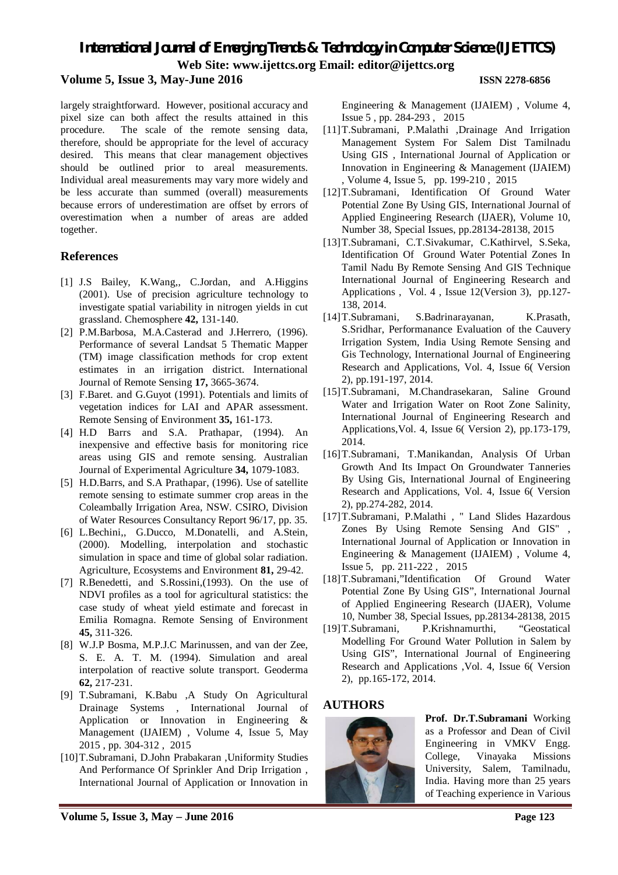#### **Volume 5, Issue 3, May-June 2016 ISSN 2278-6856**

largely straightforward. However, positional accuracy and pixel size can both affect the results attained in this procedure. The scale of the remote sensing data, therefore, should be appropriate for the level of accuracy desired. This means that clear management objectives should be outlined prior to areal measurements. Individual areal measurements may vary more widely and be less accurate than summed (overall) measurements because errors of underestimation are offset by errors of overestimation when a number of areas are added together.

#### **References**

- [1] J.S Bailey, K.Wang,, C.Jordan, and A.Higgins (2001). Use of precision agriculture technology to investigate spatial variability in nitrogen yields in cut grassland. Chemosphere **42,** 131-140.
- [2] P.M.Barbosa, M.A.Casterad and J.Herrero, (1996). Performance of several Landsat 5 Thematic Mapper (TM) image classification methods for crop extent estimates in an irrigation district. International Journal of Remote Sensing **17,** 3665-3674.
- [3] F.Baret. and G.Guyot (1991). Potentials and limits of vegetation indices for LAI and APAR assessment. Remote Sensing of Environment **35,** 161-173.
- [4] H.D Barrs and S.A. Prathapar, (1994). An inexpensive and effective basis for monitoring rice areas using GIS and remote sensing. Australian Journal of Experimental Agriculture **34,** 1079-1083.
- [5] H.D.Barrs, and S.A Prathapar, (1996). Use of satellite remote sensing to estimate summer crop areas in the Coleambally Irrigation Area, NSW. CSIRO, Division of Water Resources Consultancy Report 96/17, pp. 35.
- [6] L.Bechini,, G.Ducco, M.Donatelli, and A.Stein, (2000). Modelling, interpolation and stochastic simulation in space and time of global solar radiation. Agriculture, Ecosystems and Environment **81,** 29-42.
- [7] R.Benedetti, and S.Rossini,(1993). On the use of NDVI profiles as a tool for agricultural statistics: the case study of wheat yield estimate and forecast in Emilia Romagna. Remote Sensing of Environment **45,** 311-326.
- [8] W.J.P Bosma, M.P.J.C Marinussen, and van der Zee, S. E. A. T. M. (1994). Simulation and areal interpolation of reactive solute transport. Geoderma **62,** 217-231.
- [9] T.Subramani, K.Babu ,A Study On Agricultural Drainage Systems , International Journal of Application or Innovation in Engineering & Management (IJAIEM) , Volume 4, Issue 5, May 2015 , pp. 304-312 , 2015
- [10]T.Subramani, D.John Prabakaran ,Uniformity Studies And Performance Of Sprinkler And Drip Irrigation , International Journal of Application or Innovation in

Engineering & Management (IJAIEM) , Volume 4, Issue 5 , pp. 284-293 , 2015

- [11]T.Subramani, P.Malathi ,Drainage And Irrigation Management System For Salem Dist Tamilnadu Using GIS , International Journal of Application or Innovation in Engineering & Management (IJAIEM) , Volume 4, Issue 5, pp. 199-210 , 2015
- [12]T.Subramani, Identification Of Ground Water Potential Zone By Using GIS, International Journal of Applied Engineering Research (IJAER), Volume 10, Number 38, Special Issues, pp.28134-28138, 2015
- [13]T.Subramani, C.T.Sivakumar, C.Kathirvel, S.Seka, Identification Of Ground Water Potential Zones In Tamil Nadu By Remote Sensing And GIS Technique International Journal of Engineering Research and Applications , Vol. 4 , Issue 12(Version 3), pp.127- 138, 2014.
- [14]T.Subramani, S.Badrinarayanan, K.Prasath, S.Sridhar, Performanance Evaluation of the Cauvery Irrigation System, India Using Remote Sensing and Gis Technology, International Journal of Engineering Research and Applications, Vol. 4, Issue 6( Version 2), pp.191-197, 2014.
- [15]T.Subramani, M.Chandrasekaran, Saline Ground Water and Irrigation Water on Root Zone Salinity, International Journal of Engineering Research and Applications,Vol. 4, Issue 6( Version 2), pp.173-179, 2014.
- [16]T.Subramani, T.Manikandan, Analysis Of Urban Growth And Its Impact On Groundwater Tanneries By Using Gis, International Journal of Engineering Research and Applications, Vol. 4, Issue 6( Version 2), pp.274-282, 2014.
- [17]T.Subramani, P.Malathi , " Land Slides Hazardous Zones By Using Remote Sensing And GIS" , International Journal of Application or Innovation in Engineering & Management (IJAIEM) , Volume 4, Issue 5, pp. 211-222 , 2015
- [18]T.Subramani,"Identification Of Ground Water Potential Zone By Using GIS", International Journal of Applied Engineering Research (IJAER), Volume 10, Number 38, Special Issues, pp.28134-28138, 2015
- [19]T.Subramani, P.Krishnamurthi, "Geostatical Modelling For Ground Water Pollution in Salem by Using GIS", International Journal of Engineering Research and Applications ,Vol. 4, Issue 6( Version 2), pp.165-172, 2014.

#### **AUTHORS**



**Prof. Dr.T.Subramani** Working as a Professor and Dean of Civil Engineering in VMKV Engg. College, Vinayaka Missions University, Salem, Tamilnadu, India. Having more than 25 years of Teaching experience in Various